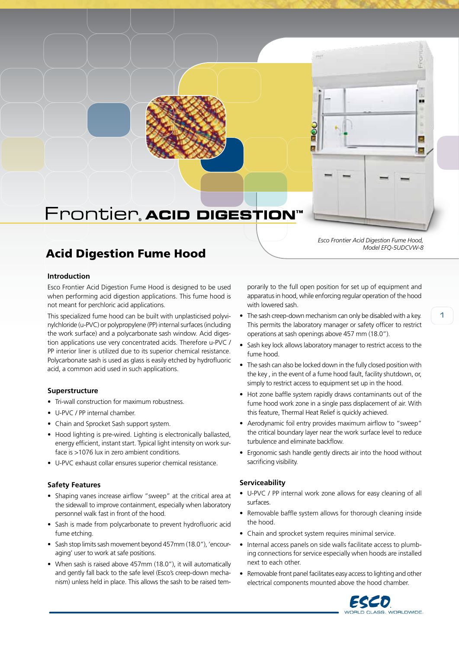## Frontier, ACID DIGESTION

## Acid Digestion Fume Hood

#### **Introduction**

Esco Frontier Acid Digestion Fume Hood is designed to be used when performing acid digestion applications. This fume hood is not meant for perchloric acid applications.

This specialized fume hood can be built with unplasticised polyvinylchloride (u-PVC) or polypropylene (PP) internal surfaces (including the work surface) and a polycarbonate sash window. Acid digestion applications use very concentrated acids. Therefore u-PVC / PP interior liner is utilized due to its superior chemical resistance. Polycarbonate sash is used as glass is easily etched by hydrofluoric acid, a common acid used in such applications.

#### **Superstructure**

- Tri-wall construction for maximum robustness.
- U-PVC / PP internal chamber.
- Chain and Sprocket Sash support system.
- Hood lighting is pre-wired. Lighting is electronically ballasted, energy efficient, instant start. Typical light intensity on work surface is >1076 lux in zero ambient conditions.
- • U-PVC exhaust collar ensures superior chemical resistance.

#### **Safety Features**

- Shaping vanes increase airflow "sweep" at the critical area at the sidewall to improve containment, especially when laboratory personnel walk fast in front of the hood.
- Sash is made from polycarbonate to prevent hydrofluoric acid fume etching.
- Sash stop limits sash movement beyond 457mm (18.0"), 'encouraging' user to work at safe positions.
- When sash is raised above 457mm (18.0"), it will automatically and gently fall back to the safe level (Esco's creep-down mechanism) unless held in place. This allows the sash to be raised tem-

porarily to the full open position for set up of equipment and apparatus in hood, while enforcing regular operation of the hood with lowered sash.

*Esco Frontier Acid Digestion Fume Hood,*

*Model EFQ-5UDCVW-8*

..

ż 東

- The sash creep-down mechanism can only be disabled with a key. This permits the laboratory manager or safety officer to restrict operations at sash openings above 457 mm (18.0").
- Sash key lock allows laboratory manager to restrict access to the fume hood.
- The sash can also be locked down in the fully closed position with the key , in the event of a fume hood fault, facility shutdown, or, simply to restrict access to equipment set up in the hood.
- Hot zone baffle system rapidly draws contaminants out of the fume hood work zone in a single pass displacement of air. With this feature, Thermal Heat Relief is quickly achieved.
- Aerodynamic foil entry provides maximum airflow to "sweep" the critical boundary layer near the work surface level to reduce turbulence and eliminate backflow.
- Ergonomic sash handle gently directs air into the hood without sacrificing visibility.

#### **Serviceability**

- U-PVC / PP internal work zone allows for easy cleaning of all surfaces.
- Removable baffle system allows for thorough cleaning inside the hood.
- Chain and sprocket system requires minimal service.
- Internal access panels on side walls facilitate access to plumbing connections for service especially when hoods are installed next to each other.
- Removable front panel facilitates easy access to lighting and other electrical components mounted above the hood chamber.

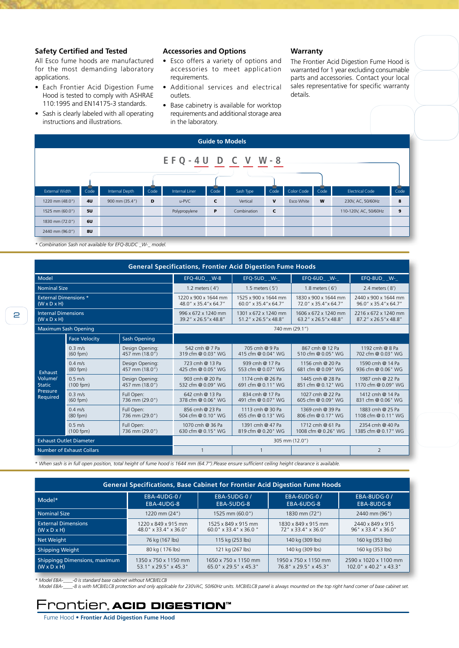#### **Safety Certified and Tested**

All Esco fume hoods are manufactured for the most demanding laboratory applications.

- • Each Frontier Acid Digestion Fume Hood is tested to comply with ASHRAE 110:1995 and EN14175-3 standards.
- • Sash is clearly labeled with all operating instructions and illustrations.

#### **Accessories and Options**

- • Esco offers a variety of options and accessories to meet application requirements.
- • Additional services and electrical outlets.
- Base cabinetry is available for worktop requirements and additional storage area in the laboratory.

#### **Warranty**

The Frontier Acid Digestion Fume Hood is warranted for 1 year excluding consumable parts and accessories. Contact your local sales representative for specific warranty details.

| <b>Guide to Models</b>    |           |                |      |                |      |             |             |                   |      |                        |      |
|---------------------------|-----------|----------------|------|----------------|------|-------------|-------------|-------------------|------|------------------------|------|
| $E F Q - 4 U D C V W - 8$ |           |                |      |                |      |             |             |                   |      |                        |      |
| <b>External Width</b>     | Code      | Internal Depth | Code | Internal Liner | Code | Sash Type   | Code        | Color Code        | Code | <b>Electrical Code</b> | Code |
| 1220 mm (48.0")           | <b>4U</b> | 900 mm (35.4") | D    | u-PVC          | C    | Vertical    | $\mathbf v$ | <b>Esco White</b> | W    | 230V, AC, 50/60Hz      | 8    |
| 1525 mm (60.0")           | 5U        |                |      | Polypropylene  | P    | Combination | $\mathbf c$ |                   |      | 110-120V, AC, 50/60Hz  | 9    |
| 1830 mm (72.0")           | 6U        |                |      |                |      |             |             |                   |      |                        |      |
| 2440 mm (96.0")           | 8U        |                |      |                |      |             |             |                   |      |                        |      |
|                           |           |                |      |                |      |             |             |                   |      |                        |      |

*\* Combination Sash not available for EFQ-8UDC \_W-\_ model.*

| <b>General Specifications, Frontier Acid Digestion Fume Hoods</b> |                                                             |                                   |                                                                                                |                                               |                                               |                                               |  |  |  |  |
|-------------------------------------------------------------------|-------------------------------------------------------------|-----------------------------------|------------------------------------------------------------------------------------------------|-----------------------------------------------|-----------------------------------------------|-----------------------------------------------|--|--|--|--|
| Model                                                             |                                                             |                                   | EFQ-4UD W-8                                                                                    | EFQ-5UD W-                                    |                                               | EFQ-8UD_ _W-_                                 |  |  |  |  |
| <b>Nominal Size</b>                                               |                                                             |                                   | 1.2 meters $(4')$                                                                              | 1.5 meters (5')                               | 1.8 meters $(6')$                             | 2.4 meters $(8')$                             |  |  |  |  |
| <b>External Dimensions *</b><br>$(W \times D \times H)$           |                                                             |                                   | 1220 x 900 x 1644 mm<br>1525 x 900 x 1644 mm<br>60.0" x 35.4" x 64.7"<br>48.0" x 35.4" x 64.7" |                                               | 1830 x 900 x 1644 mm<br>72.0" x 35.4" x 64.7" | 2440 x 900 x 1644 mm<br>96.0" x 35.4" x 64.7" |  |  |  |  |
| <b>Internal Dimensions</b><br>$(W \times D \times H)$             |                                                             |                                   | 996 x 672 x 1240 mm<br>39.2" x 26.5" x 48.8"                                                   | 1301 x 672 x 1240 mm<br>51.2" x 26.5" x 48.8" | 1606 x 672 x 1240 mm<br>63.2" x 26.5" x 48.8" | 2216 x 672 x 1240 mm<br>87.2" x 26.5" x 48.8" |  |  |  |  |
|                                                                   | <b>Maximum Sash Opening</b>                                 |                                   | 740 mm (29.1")                                                                                 |                                               |                                               |                                               |  |  |  |  |
|                                                                   | <b>Face Velocity</b>                                        | <b>Sash Opening</b>               |                                                                                                |                                               |                                               |                                               |  |  |  |  |
|                                                                   | $0.3 \, \text{m/s}$<br>$(60$ fpm $)$                        | Design Opening:<br>457 mm (18.0") | 542 cmh @ 7 Pa<br>319 cfm @ 0.03" WG                                                           | 705 cmh @ 9 Pa<br>415 cfm @ 0.04" WG          | 867 cmh @ 12 Pa<br>510 cfm @ 0.05" WG         | 1192 cmh @ 8 Pa<br>702 cfm @ 0.03" WG         |  |  |  |  |
| Exhaust<br>Volume/<br><b>Static</b><br>Pressure<br>Required       | $0.4 \, \text{m/s}$<br>$(80$ fpm $)$                        | Design Opening:<br>457 mm (18.0") | 723 cmh @ 13 Pa<br>425 cfm @ 0.05" WG                                                          | 939 cmh @ 17 Pa<br>553 cfm @ 0.07" WG         | 1156 cmh @ 20 Pa<br>681 cfm @ 0.09" WG        | 1590 cmh @ 14 Pa<br>936 cfm @ 0.06" WG        |  |  |  |  |
|                                                                   | $0.5 \, \text{m/s}$<br>$(100$ fpm $)$                       | Design Opening:<br>457 mm (18.0") | 903 cmh @ 20 Pa<br>532 cfm @ 0.09" WG                                                          | 1174 cmh @ 26 Pa<br>691 cfm @ 0.11" WG        | 1445 cmh @ 28 Pa<br>851 cfm @ 0.12" WG        | 1987 cmh @ 22 Pa<br>1170 cfm @ 0.09" WG       |  |  |  |  |
|                                                                   | $0.3$ m/s<br>$(60$ fpm $)$                                  | Full Open:<br>736 mm (29.0")      | 642 cmh @ 13 Pa<br>378 cfm @ 0.06" WG                                                          | 834 cmh @ 17 Pa<br>491 cfm @ 0.07" WG         | 1027 cmh @ 22 Pa<br>605 cfm @ 0.09" WG        | 1412 cmh @ 14 Pa<br>831 cfm @ 0.06" WG        |  |  |  |  |
|                                                                   | $0.4$ m/s<br>$(80$ fpm $)$                                  | Full Open:<br>736 mm (29.0")      | 856 cmh @ 23 Pa<br>504 cfm @ 0.10" WG                                                          | 1113 cmh @ 30 Pa<br>655 cfm @ 0.13" WG        | 1369 cmh @ 39 Pa<br>806 cfm @ 0.17" WG        | 1883 cmh @ 25 Pa<br>1108 cfm @ 0.11" WG       |  |  |  |  |
|                                                                   | $0.5$ m/s<br>Full Open:<br>736 mm (29.0")<br>$(100$ fpm $)$ |                                   | 1391 cmh @ 47 Pa<br>1070 cmh @ 36 Pa<br>630 cfm @ 0.15" WG<br>819 cfm @ 0.20" WG               |                                               | 1712 cmh @ 61 Pa<br>1008 cfm @ 0.26" WG       | 2354 cmh @ 40 Pa<br>1385 cfm @ 0.17" WG       |  |  |  |  |
|                                                                   | <b>Exhaust Outlet Diameter</b>                              |                                   | 305 mm (12.0")                                                                                 |                                               |                                               |                                               |  |  |  |  |
|                                                                   | <b>Number of Exhaust Collars</b>                            |                                   |                                                                                                |                                               |                                               | $\overline{2}$                                |  |  |  |  |

*\* When sash is in full open position, total height of fume hood is 1644 mm (64.7").Please ensure sufficient ceiling height clearance is available.*

| <b>General Specifications, Base Cabinet for Frontier Acid Digestion Fume Hoods</b> |                                                                                                 |                                               |                                               |                                                    |  |  |  |  |  |
|------------------------------------------------------------------------------------|-------------------------------------------------------------------------------------------------|-----------------------------------------------|-----------------------------------------------|----------------------------------------------------|--|--|--|--|--|
| Model*                                                                             | <b>EBA-4UDG-0/</b><br>EBA-4UDG-8                                                                | <b>EBA-5UDG-0/</b><br>EBA-5UDG-8              | <b>EBA-6UDG-0/</b><br>EBA-6UDG-8              | <b>EBA-8UDG-0/</b><br>EBA-8UDG-8                   |  |  |  |  |  |
| <b>Nominal Size</b>                                                                | $1220$ mm $(24")$                                                                               | 1525 mm (60.0")                               | 1830 mm (72")                                 | 2440 mm (96")                                      |  |  |  |  |  |
| <b>External Dimensions</b><br>$(W \times D \times H)$                              | 1220 x 849 x 915 mm<br>1525 x 849 x 915 mm<br>48.0" x 33.4" x 36.0"<br>$60.0''$ x 33.4" x 36.0" |                                               | 1830 x 849 x 915 mm<br>72" x 33.4" x 36.0"    | 2440 x 849 x 915<br>$96"$ x 33.4" x 36.0"          |  |  |  |  |  |
| Net Weight                                                                         | 76 kg (167 lbs)                                                                                 | 115 kg (253 lbs)                              | 140 kg (309 lbs)                              | 160 kg (353 lbs)                                   |  |  |  |  |  |
| <b>Shipping Weight</b>                                                             | 80 kg (176 lbs)                                                                                 | 121 kg (267 lbs)                              | 140 kg (309 lbs)                              | 160 kg (353 lbs)                                   |  |  |  |  |  |
| Shippingg Dimensions, maximum<br>$(W \times D \times H)$                           | 1350 x 750 x 1150 mm<br>53.1" x 29.5" x 45.3"                                                   | 1650 x 750 x 1150 mm<br>65.0" x 29.5" x 45.3" | 1950 x 750 x 1150 mm<br>76.8" x 29.5" x 45.3" | 2590 x 1020 x 1100 mm<br>$102.0$ " x 40.2" x 43.3" |  |  |  |  |  |

\* Model EBA-\_\_\_\_-0 is standard base cabinet without MCB/ELCB<br>Model EBA-\_\_\_\_-8 is with MCB/ELCB protection and only applicable for 230VAC, 50/60Hz units. MCB/ELCB panel is always mounted on the top right hand corner of base

### **PONTIEP, ACID DIGESTION"**

Fume Hood • **Frontier Acid Digestion Fume Hood**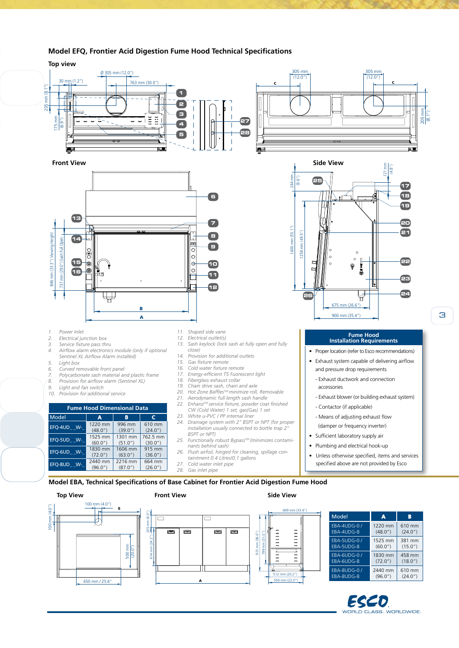

512 mm (20.2") 559 mm (22.0")

A

650 mm / 25.6"

#### **Model EFQ, Frontier Acid Digestion Fume Hood Technical Specifications**

ECED CLASS. WORLDWIDE.

(72.0")

2440 mm (96.0")

610 mm (24.0")

EBA-6UDG-8

EBA-8UDG-0 / EBA-8UDG-8

3